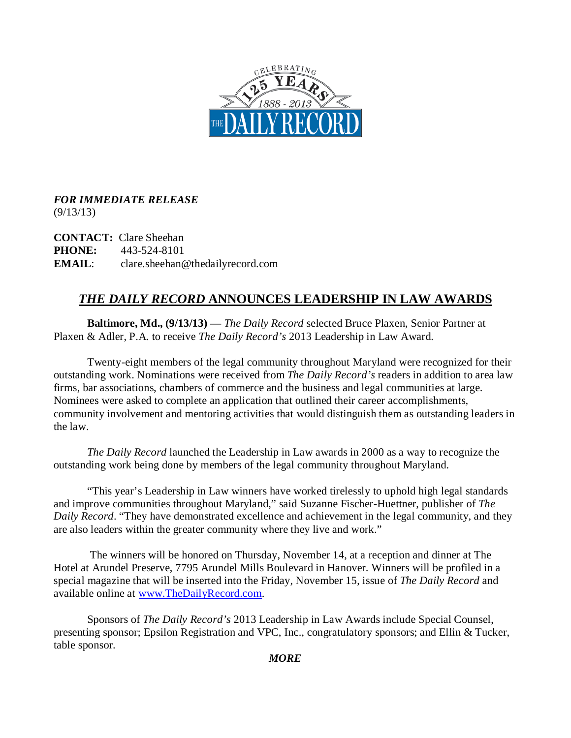

## *FOR IMMEDIATE RELEASE*   $(9/13/13)$

**CONTACT:** Clare Sheehan **PHONE:** 443-524-8101 **EMAIL**: clare.sheehan@thedailyrecord.com

## *THE DAILY RECORD* **ANNOUNCES LEADERSHIP IN LAW AWARDS**

**Baltimore, Md., (9/13/13) —** *The Daily Record* selected Bruce Plaxen, Senior Partner at Plaxen & Adler, P.A. to receive *The Daily Record's* 2013 Leadership in Law Award.

Twenty-eight members of the legal community throughout Maryland were recognized for their outstanding work. Nominations were received from *The Daily Record's* readers in addition to area law firms, bar associations, chambers of commerce and the business and legal communities at large. Nominees were asked to complete an application that outlined their career accomplishments, community involvement and mentoring activities that would distinguish them as outstanding leaders in the law.

*The Daily Record* launched the Leadership in Law awards in 2000 as a way to recognize the outstanding work being done by members of the legal community throughout Maryland.

"This year's Leadership in Law winners have worked tirelessly to uphold high legal standards and improve communities throughout Maryland," said Suzanne Fischer-Huettner, publisher of *The Daily Record*. "They have demonstrated excellence and achievement in the legal community, and they are also leaders within the greater community where they live and work."

The winners will be honored on Thursday, November 14, at a reception and dinner at The Hotel at Arundel Preserve, 7795 Arundel Mills Boulevard in Hanover. Winners will be profiled in a special magazine that will be inserted into the Friday, November 15, issue of *The Daily Record* and available online at [www.TheDailyRecord.com.](http://www.thedailyrecord.com/)

Sponsors of *The Daily Record's* 2013 Leadership in Law Awards include Special Counsel, presenting sponsor; Epsilon Registration and VPC, Inc., congratulatory sponsors; and Ellin & Tucker, table sponsor.

*MORE*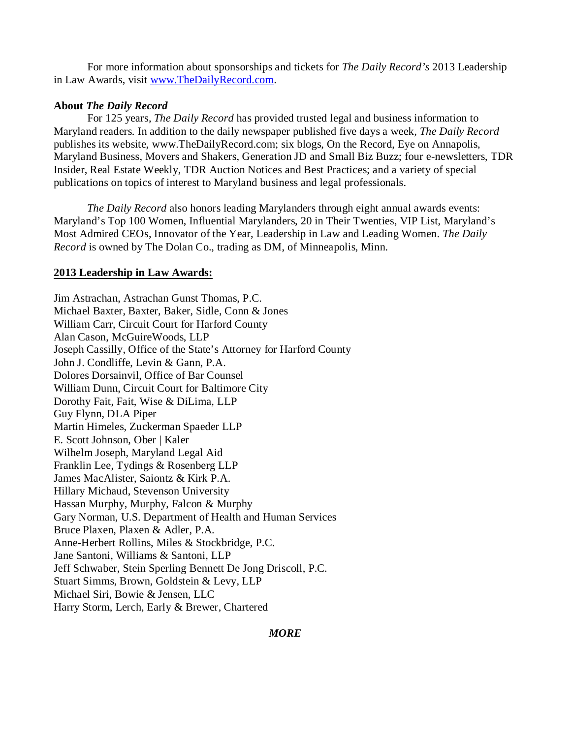For more information about sponsorships and tickets for *The Daily Record's* 2013 Leadership in Law Awards, visit [www.TheDailyRecord.com.](http://www.thedailyrecord.com/)

## **About** *The Daily Record*

For 125 years, *The Daily Record* has provided trusted legal and business information to Maryland readers. In addition to the daily newspaper published five days a week*, The Daily Record* publishes its website, www.TheDailyRecord.com; six blogs, On the Record, Eye on Annapolis, Maryland Business, Movers and Shakers, Generation JD and Small Biz Buzz; four e-newsletters, TDR Insider, Real Estate Weekly, TDR Auction Notices and Best Practices; and a variety of special publications on topics of interest to Maryland business and legal professionals.

*The Daily Record* also honors leading Marylanders through eight annual awards events: Maryland's Top 100 Women, Influential Marylanders, 20 in Their Twenties, VIP List, Maryland's Most Admired CEOs, Innovator of the Year, Leadership in Law and Leading Women. *The Daily Record* is owned by The Dolan Co., trading as DM, of Minneapolis, Minn.

## **2013 Leadership in Law Awards:**

Jim Astrachan, Astrachan Gunst Thomas, P.C. Michael Baxter, Baxter, Baker, Sidle, Conn & Jones William Carr, Circuit Court for Harford County Alan Cason, McGuireWoods, LLP Joseph Cassilly, Office of the State's Attorney for Harford County John J. Condliffe, Levin & Gann, P.A. Dolores Dorsainvil, Office of Bar Counsel William Dunn, Circuit Court for Baltimore City Dorothy Fait, Fait, Wise & DiLima, LLP Guy Flynn, DLA Piper Martin Himeles, Zuckerman Spaeder LLP E. Scott Johnson, Ober | Kaler Wilhelm Joseph, Maryland Legal Aid Franklin Lee, Tydings & Rosenberg LLP James MacAlister, Saiontz & Kirk P.A. Hillary Michaud, Stevenson University Hassan Murphy, Murphy, Falcon & Murphy Gary Norman, U.S. Department of Health and Human Services Bruce Plaxen, Plaxen & Adler, P.A. Anne-Herbert Rollins, Miles & Stockbridge, P.C. Jane Santoni, Williams & Santoni, LLP Jeff Schwaber, Stein Sperling Bennett De Jong Driscoll, P.C. Stuart Simms, Brown, Goldstein & Levy, LLP Michael Siri, Bowie & Jensen, LLC Harry Storm, Lerch, Early & Brewer, Chartered